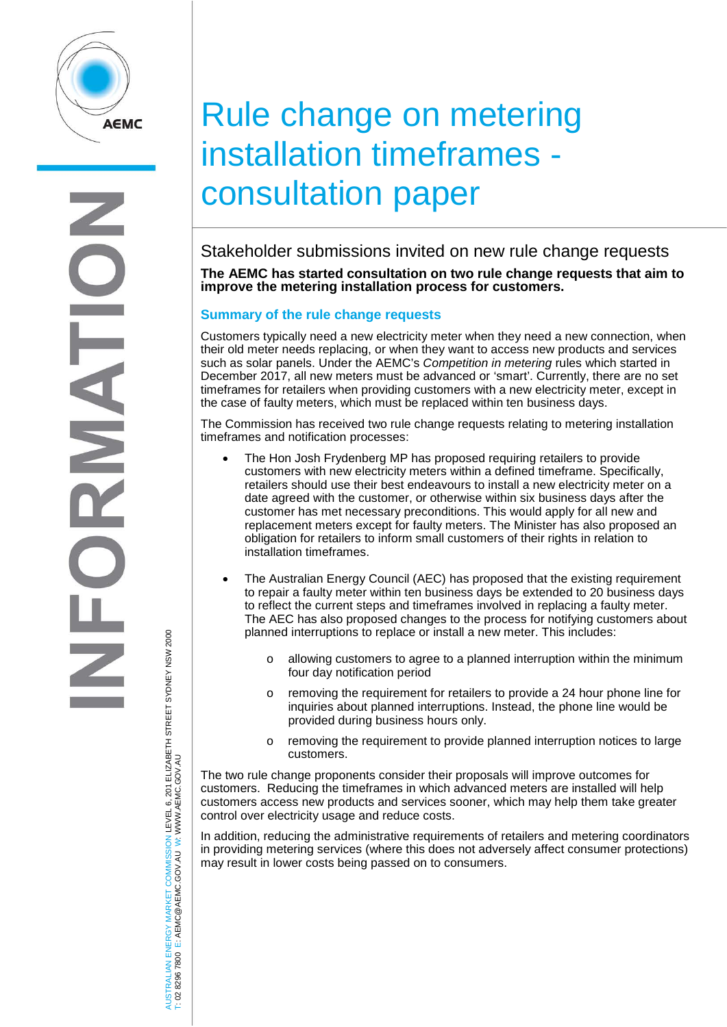

# Rule change on metering installation timeframes consultation paper

Stakeholder submissions invited on new rule change requests **The AEMC has started consultation on two rule change requests that aim to improve the metering installation process for customers.**

## **Summary of the rule change requests**

Customers typically need a new electricity meter when they need a new connection, when their old meter needs replacing, or when they want to access new products and services such as solar panels. Under the AEMC's *Competition in metering* rules which started in December 2017, all new meters must be advanced or 'smart'. Currently, there are no set timeframes for retailers when providing customers with a new electricity meter, except in the case of faulty meters, which must be replaced within ten business days.

The Commission has received two rule change requests relating to metering installation timeframes and notification processes:

- The Hon Josh Frydenberg MP has proposed requiring retailers to provide customers with new electricity meters within a defined timeframe. Specifically, retailers should use their best endeavours to install a new electricity meter on a date agreed with the customer, or otherwise within six business days after the customer has met necessary preconditions. This would apply for all new and replacement meters except for faulty meters. The Minister has also proposed an obligation for retailers to inform small customers of their rights in relation to installation timeframes.
- The Australian Energy Council (AEC) has proposed that the existing requirement to repair a faulty meter within ten business days be extended to 20 business days to reflect the current steps and timeframes involved in replacing a faulty meter. The AEC has also proposed changes to the process for notifying customers about planned interruptions to replace or install a new meter. This includes:
	- o allowing customers to agree to a planned interruption within the minimum four day notification period
	- o removing the requirement for retailers to provide a 24 hour phone line for inquiries about planned interruptions. Instead, the phone line would be provided during business hours only.
	- o removing the requirement to provide planned interruption notices to large customers.

The two rule change proponents consider their proposals will improve outcomes for customers. Reducing the timeframes in which advanced meters are installed will help customers access new products and services sooner, which may help them take greater control over electricity usage and reduce costs.

In addition, reducing the administrative requirements of retailers and metering coordinators in providing metering services (where this does not adversely affect consumer protections) may result in lower costs being passed on to consumers.

AUSTRALIAN ENERGY MARKET COMMISSION LEVEL 6, 201 ELIZABETH STREET SYDNEY NSW 2000 AUSTRALIAN ENERGY MARKET COMMISSION LEVEL 6, 201 ELIZABETH STREET SYDNEY NSW 2000<br>T: 02 8296 7800 E: AEMC@AEMC.GOV.AU W: WWW.AEMC.GOV.AU W: WWW.AEMC.GOV.AU T: 02 8296 7800 E: AEMC@AEMC.GOV.AU